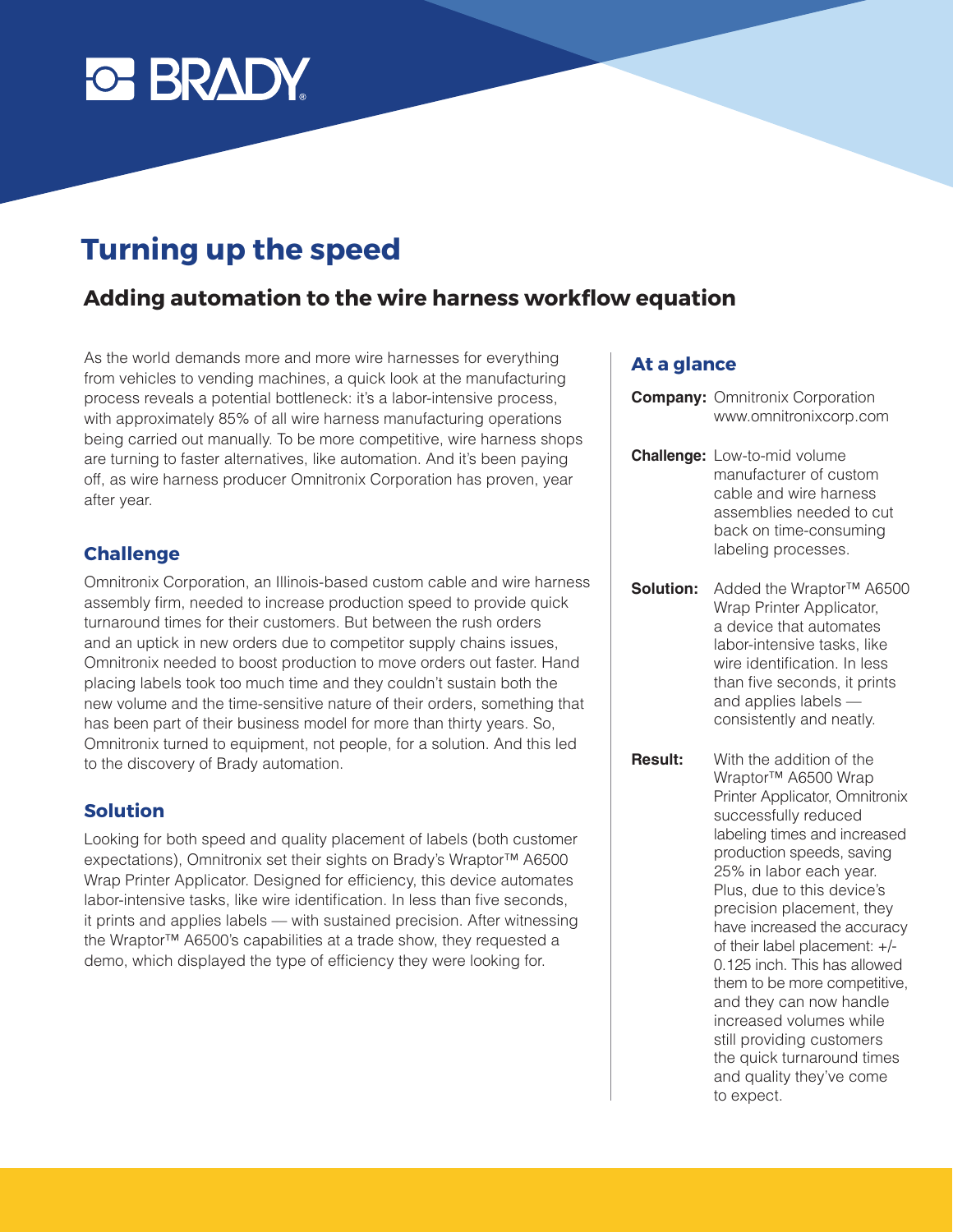

# **Turning up the speed**

## **Adding automation to the wire harness workflow equation**

As the world demands more and more wire harnesses for everything from vehicles to vending machines, a quick look at the manufacturing process reveals a potential bottleneck: it's a labor-intensive process, with approximately 85% of all wire harness manufacturing operations being carried out manually. To be more competitive, wire harness shops are turning to faster alternatives, like automation. And it's been paying off, as wire harness producer Omnitronix Corporation has proven, year after year.

#### **Challenge**

Omnitronix Corporation, an Illinois-based custom cable and wire harness assembly firm, needed to increase production speed to provide quick turnaround times for their customers. But between the rush orders and an uptick in new orders due to competitor supply chains issues, Omnitronix needed to boost production to move orders out faster. Hand placing labels took too much time and they couldn't sustain both the new volume and the time-sensitive nature of their orders, something that has been part of their business model for more than thirty years. So, Omnitronix turned to equipment, not people, for a solution. And this led to the discovery of Brady automation.

#### **Solution**

Looking for both speed and quality placement of labels (both customer expectations), Omnitronix set their sights on Brady's Wraptor™ A6500 Wrap Printer Applicator. Designed for efficiency, this device automates labor-intensive tasks, like wire identification. In less than five seconds, it prints and applies labels — with sustained precision. After witnessing the Wraptor™ A6500's capabilities at a trade show, they requested a demo, which displayed the type of efficiency they were looking for.

#### **At a glance**

- **Company:** Omnitronix Corporation www.omnitronixcorp.com
- **Challenge:** Low-to-mid volume manufacturer of custom cable and wire harness assemblies needed to cut back on time-consuming labeling processes.
- **Solution:** Added the Wraptor™ A6500 Wrap Printer Applicator, a device that automates labor-intensive tasks, like wire identification. In less than five seconds, it prints and applies labels consistently and neatly.
- **Result:** With the addition of the Wraptor™ A6500 Wrap Printer Applicator, Omnitronix successfully reduced labeling times and increased production speeds, saving 25% in labor each year. Plus, due to this device's precision placement, they have increased the accuracy of their label placement: +/- 0.125 inch. This has allowed them to be more competitive, and they can now handle increased volumes while still providing customers the quick turnaround times and quality they've come to expect.